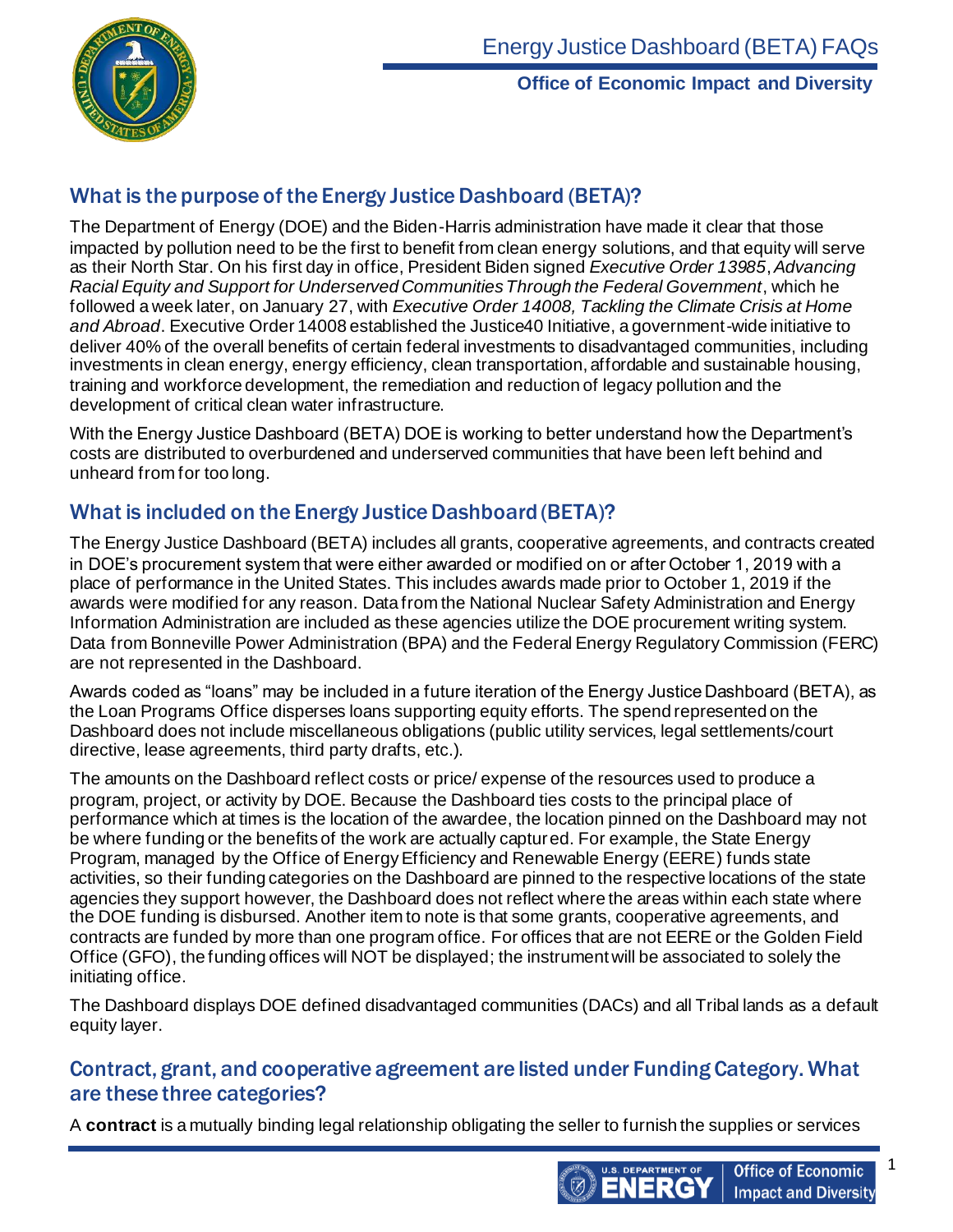

## What is the purpose of the Energy Justice Dashboard (BETA)?

The Department of Energy (DOE) and the Biden-Harris administration have made it clear that those impacted by pollution need to be the first to benefit from clean energy solutions, and that equity will serve as their North Star. On his first day in office, President Biden signed *Executive Order 13985*, *Advancing Racial Equity and Support for Underserved Communities Through the Federal Government*, which he followed a week later, on January 27, with *Executive Order 14008, Tackling the Climate Crisis at Home and Abroad*. Executive Order 14008 established the Justice40 Initiative, a government-wide initiative to deliver 40% of the overall benefits of certain federal investments to disadvantaged communities, including investments in clean energy, energy efficiency, clean transportation, affordable and sustainable housing, training and workforce development, the remediation and reduction of legacy pollution and the development of critical clean water infrastructure.

With the Energy Justice Dashboard (BETA) DOE is working to better understand how the Department's costs are distributed to overburdened and underserved communities that have been left behind and unheard from for too long.

## What is included on the Energy Justice Dashboard (BETA)?

The Energy Justice Dashboard (BETA) includes all grants, cooperative agreements, and contracts created in DOE's procurement system that were either awarded or modified on or after October 1, 2019 with a place of performance in the United States. This includes awards made prior to October 1, 2019 if the awards were modified for any reason. Data from the National Nuclear Safety Administration and Energy Information Administration are included as these agencies utilize the DOE procurement writing system. Data from Bonneville Power Administration (BPA) and the Federal Energy Regulatory Commission (FERC) are not represented in the Dashboard.

Awards coded as "loans" may be included in a future iteration of the Energy Justice Dashboard (BETA), as the Loan Programs Office disperses loans supporting equity efforts. The spend represented on the Dashboard does not include miscellaneous obligations (public utility services, legal settlements/court directive, lease agreements, third party drafts, etc.).

The amounts on the Dashboard reflect costs or price/ expense of the resources used to produce a program, project, or activity by DOE. Because the Dashboard ties costs to the principal place of performance which at times is the location of the awardee, the location pinned on the Dashboard may not be where funding or the benefits of the work are actually captured. For example, the State Energy Program, managed by the Office of Energy Efficiency and Renewable Energy (EERE) funds state activities, so their funding categories on the Dashboard are pinned to the respective locations of the state agencies they support however, the Dashboard does not reflect where the areas within each state where the DOE funding is disbursed. Another item to note is that some grants, cooperative agreements, and contracts are funded by more than one program office. For offices that are not EERE or the Golden Field Office (GFO), the funding offices will NOT be displayed; the instrument will be associated to solely the initiating office.

The Dashboard displays DOE defined disadvantaged communities (DACs) and all Tribal lands as a default equity layer.

#### Contract, grant, and cooperative agreement are listed under Funding Category. What are these three categories?

A **contract** is a mutually binding legal relationship obligating the seller to furnish the supplies or services

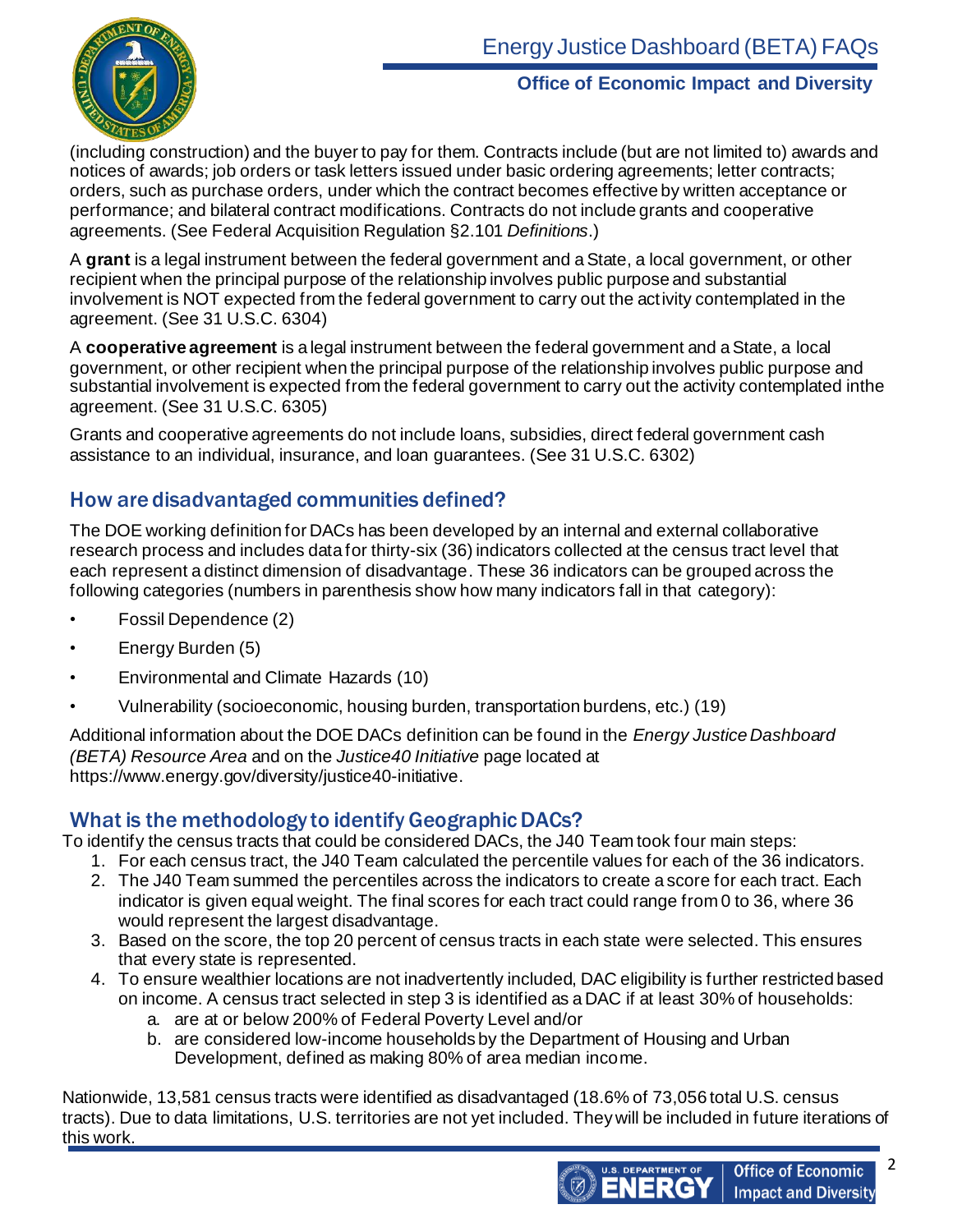

(including construction) and the buyer to pay for them. Contracts include (but are not limited to) awards and notices of awards; job orders or task letters issued under basic ordering agreements; letter contracts; orders, such as purchase orders, under which the contract becomes effective by written acceptance or performance; and bilateral contract modifications. Contracts do not include grants and cooperative agreements. (See Federal Acquisition Regulation §2.101 *Definitions*.)

A **grant** is a legal instrument between the federal government and aState, a local government, or other recipient when the principal purpose of the relationship involves public purpose and substantial involvement is NOT expected from the federal government to carry out the activity contemplated in the agreement. (See 31 U.S.C. 6304)

A **cooperative agreement** is a legal instrument between the federal government and a State, a local government, or other recipient when the principal purpose of the relationship involves public purpose and substantial involvement is expected from the federal government to carry out the activity contemplated inthe agreement. (See 31 U.S.C. 6305)

Grants and cooperative agreements do not include loans, subsidies, direct federal government cash assistance to an individual, insurance, and loan guarantees. (See 31 U.S.C. 6302)

## How are disadvantaged communities defined?

The DOE working definition for DACs has been developed by an internal and external collaborative research process and includes data for thirty-six (36) indicators collected at the census tract level that each represent a distinct dimension of disadvantage. These 36 indicators can be grouped across the following categories (numbers in parenthesis show how many indicators fall in that category):

- Fossil Dependence (2)
- Energy Burden (5)
- Environmental and Climate Hazards (10)
- Vulnerability (socioeconomic, housing burden, transportation burdens, etc.) (19)

Additional information about the DOE DACs definition can be found in the *Energy Justice Dashboard (BETA) Resource Area* and on the *Justice40 Initiative* page located at https://www.energy.gov/diversity/justice40-initiative.

#### What is the methodology to identify Geographic DACs?

To identify the census tracts that could be considered DACs, the J40 Team took four main steps:

- 1. For each census tract, the J40 Team calculated the percentile values for each of the 36 indicators.
- 2. The J40 Team summed the percentiles across the indicators to create a score for each tract. Each indicator is given equal weight. The final scores for each tract could range from 0 to 36, where 36 would represent the largest disadvantage.
- 3. Based on the score, the top 20 percent of census tracts in each state were selected. This ensures that every state is represented.
- 4. To ensure wealthier locations are not inadvertently included, DAC eligibility is further restricted based on income. A census tract selected in step 3 is identified as a DAC if at least 30% of households: a. are at or below 200% of Federal Poverty Level and/or
	- b. are considered low-income households by the Department of Housing and Urban Development, defined as making 80% of area median income.

Nationwide, 13,581 census tracts were identified as disadvantaged (18.6% of 73,056 total U.S. census tracts). Due to data limitations, U.S. territories are not yet included. They will be included in future iterations of this work.

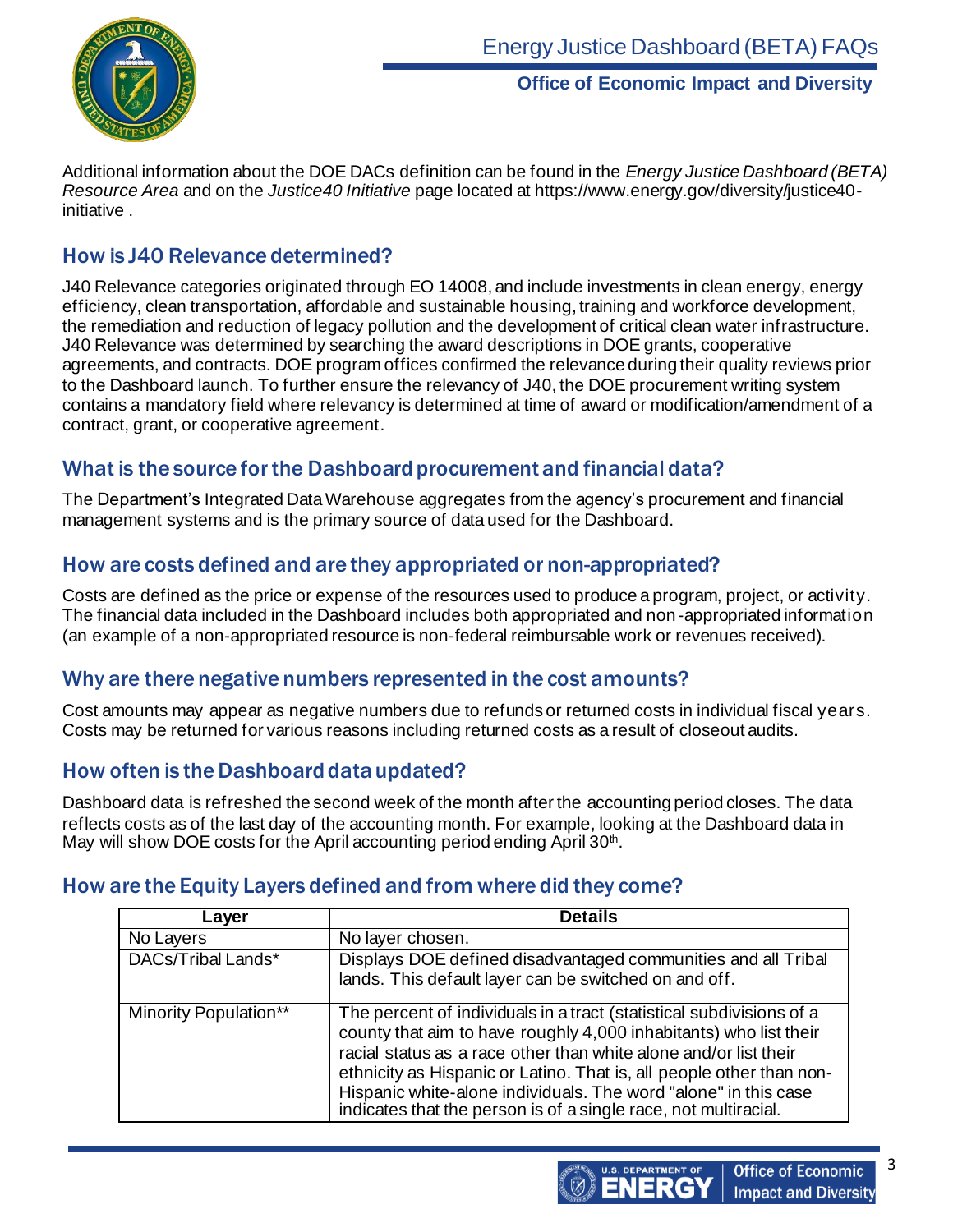

Additional information about the DOE DACs definition can be found in the *Energy Justice Dashboard (BETA) Resource Area* and on the *Justice40 Initiative* page located at https://www.energy.gov/diversity/justice40 initiative .

### How is J40 Relevance determined?

J40 Relevance categories originated through EO 14008, and include investments in clean energy, energy efficiency, clean transportation, affordable and sustainable housing, training and workforce development, the remediation and reduction of legacy pollution and the development of critical clean water infrastructure. J40 Relevance was determined by searching the award descriptions in DOE grants, cooperative agreements, and contracts. DOE program offices confirmed the relevance during their quality reviews prior to the Dashboard launch. To further ensure the relevancy of J40, the DOE procurement writing system contains a mandatory field where relevancy is determined at time of award or modification/amendment of a contract, grant, or cooperative agreement.

# What is the source for the Dashboard procurementand financial data?

The Department's Integrated Data Warehouse aggregates from the agency's procurement and financial management systems and is the primary source of data used for the Dashboard.

### How are costs defined and are they appropriated or non-appropriated?

Costs are defined as the price or expense of the resources used to produce a program, project, or activity. The financial data included in the Dashboard includes both appropriated and non-appropriated information (an example of a non-appropriated resource is non-federal reimbursable work or revenues received).

### Why are there negative numbers represented in the cost amounts?

Cost amounts may appear as negative numbers due to refunds or returned costs in individual fiscal years. Costs may be returned for various reasons including returned costs as a result of closeout audits.

### How often is the Dashboard data updated?

Dashboard data is refreshed the second week of the month after the accounting period closes. The data reflects costs as of the last day of the accounting month. For example, looking at the Dashboard data in May will show DOE costs for the April accounting period ending April 30<sup>th</sup>.

### How are the Equity Layers defined and from where did they come?

| Layer                        | <b>Details</b>                                                                                                                                                                                                                                                                                                                                                                                                              |
|------------------------------|-----------------------------------------------------------------------------------------------------------------------------------------------------------------------------------------------------------------------------------------------------------------------------------------------------------------------------------------------------------------------------------------------------------------------------|
| No Layers                    | No layer chosen.                                                                                                                                                                                                                                                                                                                                                                                                            |
| DACs/Tribal Lands*           | Displays DOE defined disadvantaged communities and all Tribal<br>lands. This default layer can be switched on and off.                                                                                                                                                                                                                                                                                                      |
| <b>Minority Population**</b> | The percent of individuals in a tract (statistical subdivisions of a<br>county that aim to have roughly 4,000 inhabitants) who list their<br>racial status as a race other than white alone and/or list their<br>ethnicity as Hispanic or Latino. That is, all people other than non-<br>Hispanic white-alone individuals. The word "alone" in this case<br>indicates that the person is of a single race, not multiracial. |

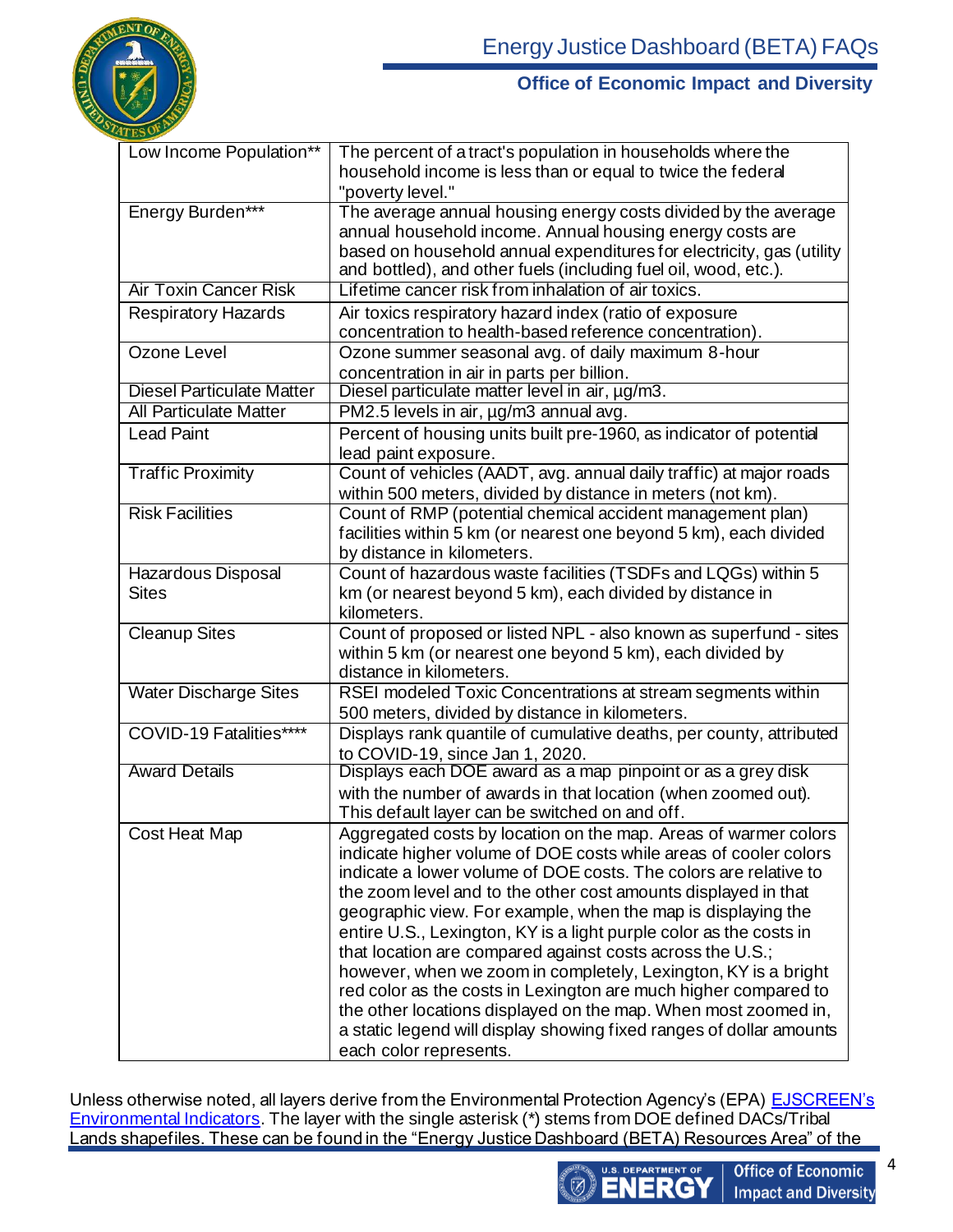

| Low Income Population**            | The percent of a tract's population in households where the<br>household income is less than or equal to twice the federal<br>"poverty level."                                                                                                                                                                                                                                                                                                                                                                                                                                                                                                                                                                                                                                       |
|------------------------------------|--------------------------------------------------------------------------------------------------------------------------------------------------------------------------------------------------------------------------------------------------------------------------------------------------------------------------------------------------------------------------------------------------------------------------------------------------------------------------------------------------------------------------------------------------------------------------------------------------------------------------------------------------------------------------------------------------------------------------------------------------------------------------------------|
| Energy Burden***                   | The average annual housing energy costs divided by the average<br>annual household income. Annual housing energy costs are<br>based on household annual expenditures for electricity, gas (utility<br>and bottled), and other fuels (including fuel oil, wood, etc.).                                                                                                                                                                                                                                                                                                                                                                                                                                                                                                                |
| <b>Air Toxin Cancer Risk</b>       | Lifetime cancer risk from inhalation of air toxics.                                                                                                                                                                                                                                                                                                                                                                                                                                                                                                                                                                                                                                                                                                                                  |
| <b>Respiratory Hazards</b>         | Air toxics respiratory hazard index (ratio of exposure<br>concentration to health-based reference concentration).                                                                                                                                                                                                                                                                                                                                                                                                                                                                                                                                                                                                                                                                    |
| Ozone Level                        | Ozone summer seasonal avg. of daily maximum 8-hour<br>concentration in air in parts per billion.                                                                                                                                                                                                                                                                                                                                                                                                                                                                                                                                                                                                                                                                                     |
| <b>Diesel Particulate Matter</b>   | Diesel particulate matter level in air, µg/m3.                                                                                                                                                                                                                                                                                                                                                                                                                                                                                                                                                                                                                                                                                                                                       |
| <b>All Particulate Matter</b>      | PM2.5 levels in air, µg/m3 annual avg.                                                                                                                                                                                                                                                                                                                                                                                                                                                                                                                                                                                                                                                                                                                                               |
| <b>Lead Paint</b>                  | Percent of housing units built pre-1960, as indicator of potential<br>lead paint exposure.                                                                                                                                                                                                                                                                                                                                                                                                                                                                                                                                                                                                                                                                                           |
| <b>Traffic Proximity</b>           | Count of vehicles (AADT, avg. annual daily traffic) at major roads<br>within 500 meters, divided by distance in meters (not km).                                                                                                                                                                                                                                                                                                                                                                                                                                                                                                                                                                                                                                                     |
| <b>Risk Facilities</b>             | Count of RMP (potential chemical accident management plan)<br>facilities within 5 km (or nearest one beyond 5 km), each divided<br>by distance in kilometers.                                                                                                                                                                                                                                                                                                                                                                                                                                                                                                                                                                                                                        |
| Hazardous Disposal<br><b>Sites</b> | Count of hazardous waste facilities (TSDFs and LQGs) within 5<br>km (or nearest beyond 5 km), each divided by distance in<br>kilometers.                                                                                                                                                                                                                                                                                                                                                                                                                                                                                                                                                                                                                                             |
| <b>Cleanup Sites</b>               | Count of proposed or listed NPL - also known as superfund - sites<br>within 5 km (or nearest one beyond 5 km), each divided by<br>distance in kilometers.                                                                                                                                                                                                                                                                                                                                                                                                                                                                                                                                                                                                                            |
| <b>Water Discharge Sites</b>       | RSEI modeled Toxic Concentrations at stream segments within<br>500 meters, divided by distance in kilometers.                                                                                                                                                                                                                                                                                                                                                                                                                                                                                                                                                                                                                                                                        |
| COVID-19 Fatalities****            | Displays rank quantile of cumulative deaths, per county, attributed<br>to COVID-19, since Jan 1, 2020.                                                                                                                                                                                                                                                                                                                                                                                                                                                                                                                                                                                                                                                                               |
| <b>Award Details</b>               | Displays each DOE award as a map pinpoint or as a grey disk<br>with the number of awards in that location (when zoomed out).<br>This default layer can be switched on and off.                                                                                                                                                                                                                                                                                                                                                                                                                                                                                                                                                                                                       |
| Cost Heat Map                      | Aggregated costs by location on the map. Areas of warmer colors<br>indicate higher volume of DOE costs while areas of cooler colors<br>indicate a lower volume of DOE costs. The colors are relative to<br>the zoom level and to the other cost amounts displayed in that<br>geographic view. For example, when the map is displaying the<br>entire U.S., Lexington, KY is a light purple color as the costs in<br>that location are compared against costs across the U.S.;<br>however, when we zoom in completely, Lexington, KY is a bright<br>red color as the costs in Lexington are much higher compared to<br>the other locations displayed on the map. When most zoomed in,<br>a static legend will display showing fixed ranges of dollar amounts<br>each color represents. |

Unless otherwise noted, all layers derive from the Environmental Protection Agency's (EPA) <u>EJSCREEN's</u> [Environmental Indicators.](https://www.epa.gov/ejscreen/overview-environmental-indicators-ejscreen) The layer with the single asterisk (\*) stems from DOE defined DACs/Tribal Lands shapefiles. These can be found in the "Energy Justice Dashboard (BETA) Resources Area" of the



**Office of Economic Impact and Diversity**